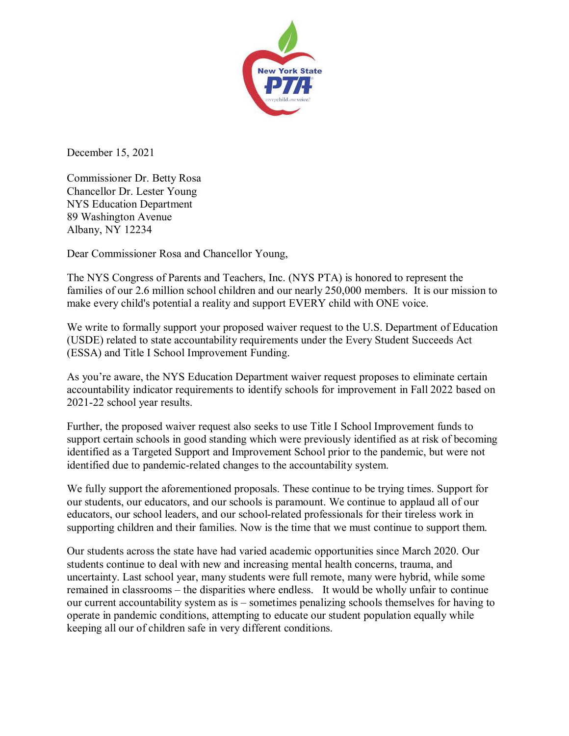

December 15, 2021

Commissioner Dr. Betty Rosa Chancellor Dr. Lester Young NYS Education Department 89 Washington Avenue Albany, NY 12234

Dear Commissioner Rosa and Chancellor Young,

The NYS Congress of Parents and Teachers, Inc. (NYS PTA) is honored to represent the families of our 2.6 million school children and our nearly 250,000 members. It is our mission to make every child's potential a reality and support EVERY child with ONE voice.

We write to formally support your proposed waiver request to the U.S. Department of Education (USDE) related to state accountability requirements under the Every Student Succeeds Act (ESSA) and Title I School Improvement Funding.

As you're aware, the NYS Education Department waiver request proposes to eliminate certain accountability indicator requirements to identify schools for improvement in Fall 2022 based on 2021-22 school year results.

Further, the proposed waiver request also seeks to use Title I School Improvement funds to support certain schools in good standing which were previously identified as at risk of becoming identified as a Targeted Support and Improvement School prior to the pandemic, but were not identified due to pandemic-related changes to the accountability system.

We fully support the aforementioned proposals. These continue to be trying times. Support for our students, our educators, and our schools is paramount. We continue to applaud all of our educators, our school leaders, and our school-related professionals for their tireless work in supporting children and their families. Now is the time that we must continue to support them.

Our students across the state have had varied academic opportunities since March 2020. Our students continue to deal with new and increasing mental health concerns, trauma, and uncertainty. Last school year, many students were full remote, many were hybrid, while some remained in classrooms – the disparities where endless. It would be wholly unfair to continue our current accountability system as is – sometimes penalizing schools themselves for having to operate in pandemic conditions, attempting to educate our student population equally while keeping all our of children safe in very different conditions.